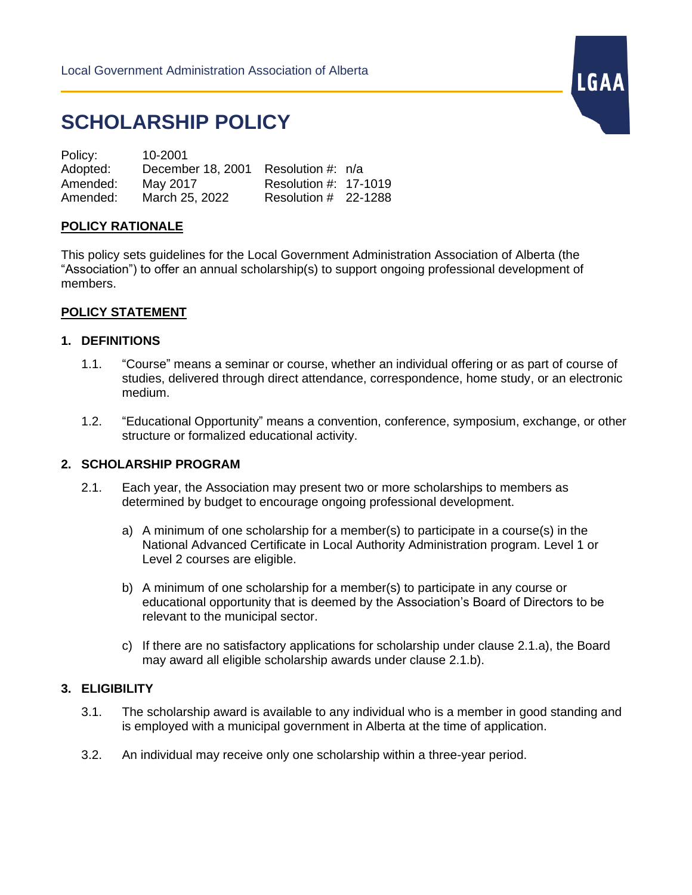# **SCHOLARSHIP POLICY**

| Policy:  | 10-2001           |                       |  |
|----------|-------------------|-----------------------|--|
| Adopted: | December 18, 2001 | Resolution #: n/a     |  |
| Amended: | May 2017          | Resolution #: 17-1019 |  |
| Amended: | March 25, 2022    | Resolution # 22-1288  |  |

### **POLICY RATIONALE**

This policy sets guidelines for the Local Government Administration Association of Alberta (the "Association") to offer an annual scholarship(s) to support ongoing professional development of members.

#### **POLICY STATEMENT**

#### **1. DEFINITIONS**

1.1. "Course" means a seminar or course, whether an individual offering or as part of course of studies, delivered through direct attendance, correspondence, home study, or an electronic medium.

LGAA

1.2. "Educational Opportunity" means a convention, conference, symposium, exchange, or other structure or formalized educational activity.

#### **2. SCHOLARSHIP PROGRAM**

- 2.1. Each year, the Association may present two or more scholarships to members as determined by budget to encourage ongoing professional development.
	- a) A minimum of one scholarship for a member(s) to participate in a course(s) in the National Advanced Certificate in Local Authority Administration program. Level 1 or Level 2 courses are eligible.
	- b) A minimum of one scholarship for a member(s) to participate in any course or educational opportunity that is deemed by the Association's Board of Directors to be relevant to the municipal sector.
	- c) If there are no satisfactory applications for scholarship under clause 2.1.a), the Board may award all eligible scholarship awards under clause 2.1.b).

#### **3. ELIGIBILITY**

- 3.1. The scholarship award is available to any individual who is a member in good standing and is employed with a municipal government in Alberta at the time of application.
- 3.2. An individual may receive only one scholarship within a three-year period.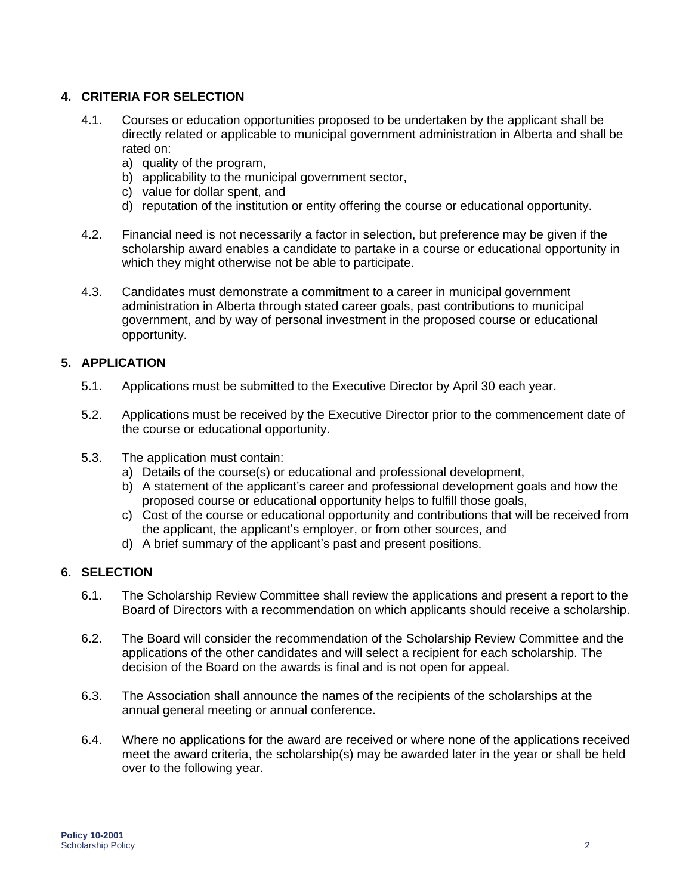# **4. CRITERIA FOR SELECTION**

- 4.1. Courses or education opportunities proposed to be undertaken by the applicant shall be directly related or applicable to municipal government administration in Alberta and shall be rated on:
	- a) quality of the program,
	- b) applicability to the municipal government sector,
	- c) value for dollar spent, and
	- d) reputation of the institution or entity offering the course or educational opportunity.
- 4.2. Financial need is not necessarily a factor in selection, but preference may be given if the scholarship award enables a candidate to partake in a course or educational opportunity in which they might otherwise not be able to participate.
- 4.3. Candidates must demonstrate a commitment to a career in municipal government administration in Alberta through stated career goals, past contributions to municipal government, and by way of personal investment in the proposed course or educational opportunity.

## **5. APPLICATION**

- 5.1. Applications must be submitted to the Executive Director by April 30 each year.
- 5.2. Applications must be received by the Executive Director prior to the commencement date of the course or educational opportunity.
- 5.3. The application must contain:
	- a) Details of the course(s) or educational and professional development,
	- b) A statement of the applicant's career and professional development goals and how the proposed course or educational opportunity helps to fulfill those goals,
	- c) Cost of the course or educational opportunity and contributions that will be received from the applicant, the applicant's employer, or from other sources, and
	- d) A brief summary of the applicant's past and present positions.

## **6. SELECTION**

- 6.1. The Scholarship Review Committee shall review the applications and present a report to the Board of Directors with a recommendation on which applicants should receive a scholarship.
- 6.2. The Board will consider the recommendation of the Scholarship Review Committee and the applications of the other candidates and will select a recipient for each scholarship. The decision of the Board on the awards is final and is not open for appeal.
- 6.3. The Association shall announce the names of the recipients of the scholarships at the annual general meeting or annual conference.
- 6.4. Where no applications for the award are received or where none of the applications received meet the award criteria, the scholarship(s) may be awarded later in the year or shall be held over to the following year.